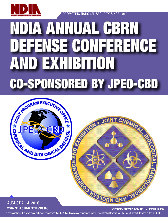

PROMOTING NATIONAL SECURITY SINCE 1919

# NDIA ANNUAL CBRN DEFENSE CONFERENCE AND EXHIBITION CO-SPONSORED BY JPEO-CBD



Co-sponsorship of this event does not imply endorsement of the NDIA, its services, or products by the United States Government, the Department of Defense, or the JPEO-CBD.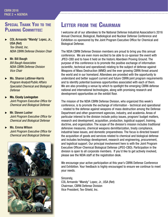## SPECIAL THANK YOU TO THE PLANNING COMMITTEE:

- COL Armando "Mandy' Lopez, Jr., USA (Ret) *Tex-Shield, Inc. NDIA CBRN Defense Division Chair*
- **Mr. Bill Baugh** *Bill Baugh Associates NDIA CBRN Defense Division Vice Chair*
- **Ms. Sharon Lattimer-Harris** *Program Analyst/Public Affairs Specialist Chemical and Biological Defense*
- **Ms. Cicely Levingston** *Joint Program Executive Office for Chemical and Biological Defense*
- **Mr. Steven Lusher** *Joint Program Executive Office for Chemical and Biological Defense*

Ms. Emma Wilson *Joint Program Executive Office for Chemical and Biological Defense*



## Letter from the Chairman

I welcome all of our attendees to the National Defense Industrial Association's 2016 Annual Chemical, Biological, Radiological and Nuclear Defense Conference and Exhibition co-sponsored by the Joint Program Executive Office for Chemical and Biological Defense.

The NDIA CBRN Defense Division members are proud to bring you this annual conference. We are even more excited to be able to co-sponsor the event with JPEO-CBD and to have it held on the historic Aberdeen Proving Ground. The purpose of this conference is to promote the positive exchange of information (scientific, technical and operational) relating to the subject of defense against Weapons of Mass Destruction (WMD) and the ever growing CBRN threat around the world and in our homeland. Attendees are provided with the opportunity to understand and better support current and future CBRN joint program requirements and to identify potential business opportunities associated with each of them. We are also providing a venue by which to spotlight the emerging CBRN defense national and international technologies, along with promising research and development opportunities on the exhibit floor.

The mission of the NDIA CBRN Defense Division, who organized this week's conference, is to promote the exchange of information - technical and operational - related to the defense against weapons of mass destruction among the Defense Department and other government agencies, industry, and academia. Areas of particular interest to the division include policy issues, program/ budget matters, research and development, acquisition, production, logistical support, training, doctrine, and organization. The scope of the division's mission includes traditional defensive measures, chemical weapons demilitarization, treaty compliance, industrial base issues, and domestic preparedness. The focus is directed toward the acquisition of goods and services related to chemical and biological defense and includes technology development, research and engineering, procurement, and logistical support. Our principal involvement here is with the Joint Program Executive Officer-Chemical Biological Defense (JPEO-CBD). Participation in the division is open to all corporate members. If you'd like to get actively involved, please see the NDIA staff at the registration desk.

We encourage your active participation at this year's CBRN Defense Conference and Exhibition. Your feedback is highly encouraged to ensure we continue to meet your needs.

Sincerely, COL Armando "Mandy" Lopez, Jr., USA (Ret) Chairman, CBRN Defense Division Vice President, Tex-Shield, Inc.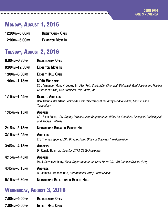# Monday, August 1, 2016

| 12:00 PM - 5:00 PM | <b>REGISTRATION OPEN</b> |
|--------------------|--------------------------|
| 12:00 PM - 5:00 PM | <b>EXHIBITOR MOVE IN</b> |

<u>-------------</u>

# Tuesday, August 2, 2016

| 8:00 AM-6:30 PM  | <b>REGISTRATION OPEN</b>                                                                                                                                                           |
|------------------|------------------------------------------------------------------------------------------------------------------------------------------------------------------------------------|
| 8:00 AM-12:00 PM | <b>EXHIBITOR MOVE IN</b>                                                                                                                                                           |
| 1:00PM-6:30PM    | <b>EXHIBIT HALL OPEN</b>                                                                                                                                                           |
| 1:00 PM-1:15 PM  | <b>NDIA WELCOME</b><br>COL Armando "Mandy" Lopez, Jr., USA (Ret), Chair, NDIA Chemical, Biological, Radiological and Nuclear<br>Defense Division; Vice President, Tex-Shield, Inc. |
| 1:15PM-1:45PM    | <b>KEYNOTE ADDRESS</b><br>Hon. Katrina McFarland, Acting Assistant Secretary of the Army for Acquisition, Logistics and<br>Technology                                              |
| 1:45PM-2:15PM    | <b>ADDRESS</b><br>COL Scott Estes, USA, Deputy Director, Joint Requirements Office for Chemical, Biological, Radiological<br>and Nuclear Defense                                   |
| 2:15PM-3:15PM    | <b>NETWORKING BREAK IN EXHIBIT HALL</b>                                                                                                                                            |
| 3:15PM-3:45PM    | <b>ADDRESS</b><br>LTG Thomas Spoehr, USA, Director, Army Office of Business Transformation                                                                                         |
| 3:45PM-4:15PM    | <b>ADDRESS</b><br>Dr. Ronald Hann, Jr., Director, DTRA CB Technologies                                                                                                             |
| 4:15 РМ-4:45 РМ  | <b>ADDRESS</b><br>Mr. J. Steven Anthony, Head, Department of the Navy NSWCDD, CBR Defense Divison (B20)                                                                            |
| 4:45 рм-5:15 рм  | <b>ADDRESS</b><br>BG James E. Bonner, USA, Commandant, Army CBRN School                                                                                                            |
| 5:15PM-6:30PM    | <b>NETWORKING RECEPTION IN EXHIBIT HALL</b>                                                                                                                                        |

## WEDNESDAY, AUGUST 3, 2016

| 7:00am-5:00pm | <b>REGISTRATION OPEN</b> |
|---------------|--------------------------|
|               |                          |

7:00am–5:00pm Exhibit Hall Open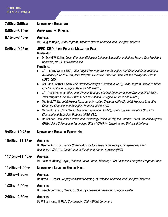| <b>CBRN 2016</b><br>AGENDA ► PAGE 4      |                                                                                                                                                                                                                                                                                                                                                                                                                                                                                                                                                                                                                                                                                                                                                                                                                                                                                                                                                                                                                                                                                                                                                                                                                                                                                                                       |
|------------------------------------------|-----------------------------------------------------------------------------------------------------------------------------------------------------------------------------------------------------------------------------------------------------------------------------------------------------------------------------------------------------------------------------------------------------------------------------------------------------------------------------------------------------------------------------------------------------------------------------------------------------------------------------------------------------------------------------------------------------------------------------------------------------------------------------------------------------------------------------------------------------------------------------------------------------------------------------------------------------------------------------------------------------------------------------------------------------------------------------------------------------------------------------------------------------------------------------------------------------------------------------------------------------------------------------------------------------------------------|
| 7:00 AM-8:00 AM                          | <b>NETWORKING BREAKFAST</b>                                                                                                                                                                                                                                                                                                                                                                                                                                                                                                                                                                                                                                                                                                                                                                                                                                                                                                                                                                                                                                                                                                                                                                                                                                                                                           |
| 8:00 AM-8:10 AM                          | <b>ADMINISTRATIVE REMARKS</b>                                                                                                                                                                                                                                                                                                                                                                                                                                                                                                                                                                                                                                                                                                                                                                                                                                                                                                                                                                                                                                                                                                                                                                                                                                                                                         |
| 8:15AM-8:45AM                            | <b>ADDRESS</b><br>Mr. Douglas Bryce, Joint Program Executive Officer, Chemical and Biological Defense                                                                                                                                                                                                                                                                                                                                                                                                                                                                                                                                                                                                                                                                                                                                                                                                                                                                                                                                                                                                                                                                                                                                                                                                                 |
| 8:45 AM-9:45 AM                          | <b>JPEO-CBD JOINT PROJECT MANAGERS PANEL</b><br><b>Moderator:</b><br>Dr. David W. Cullin, Chair, Chemical Biological Defense Acquisition Initiatives Forum; Vice President<br>Research, D&P, FLIR Systems, Inc.<br><b>Panelists:</b><br>COL Jeffrey Woods, USA, Joint Project Manager Nuclear Biological and Chemical Contamination<br>Avoidance (JPM-NBC CA), Joint Program Executive Office for Chemical and Biological Defense<br>(JPEO-CBD)<br>Col Daniel Garber, USMC, Joint Project Manager Guardian (JPM-G), Joint Program Executive Office<br>for Chemical and Biological Defense (JPEO-CBD)<br>COL David Hammer, USA, Joint Project Manager Medical Countermeasure Systems (JPM-MCS),<br>Joint Program Executive Office for Chemical and Biological Defense (JPEO-CBD)<br>Mr. Scott White, Joint Project Manager Information Systems (JPM-IS), Joint Program Executive<br>$\blacktriangleright$<br>Office for Chemical and Biological Defense (JPEO-CBD)<br>Mr. Scott Paris, Joint Project Manager Protection (JPM-P), Joint Program Executive Office for<br><b>Chemical and Biological Defense (JPEO-CBD)</b><br>Dr. Charles Bass, Joint Science and Technology Office (JSTO), the Defense Threat Reduction Agency<br>(DTRA) Joint Science and Technology Office (JSTO) for Chemical and Biological Defense |
| 9:45 AM - 10:45 AM                       | <b>NETWORKING BREAK IN EXHIBIT HALL</b>                                                                                                                                                                                                                                                                                                                                                                                                                                                                                                                                                                                                                                                                                                                                                                                                                                                                                                                                                                                                                                                                                                                                                                                                                                                                               |
| 10:45 лм-11:15 лм                        | <b>ADDRESS</b><br>Dr. George Korch, Jr., Senior Science Advisor for Assistant Secretary for Preparedness and<br>Response (ASPR/10), Department of Health and Human Services (HHS)                                                                                                                                                                                                                                                                                                                                                                                                                                                                                                                                                                                                                                                                                                                                                                                                                                                                                                                                                                                                                                                                                                                                     |
| 11:15 <sub>AM</sub> -11:45 <sub>AM</sub> | <b>ADDRESS</b><br>Mr. Heinrich (Henry) Reyes, National Guard Bureau, Director, CBRN Response Enterprise Program Office                                                                                                                                                                                                                                                                                                                                                                                                                                                                                                                                                                                                                                                                                                                                                                                                                                                                                                                                                                                                                                                                                                                                                                                                |
| 11:45 AM - 1:00 PM                       | <b>NETWORKING LUNCH IN EXHIBIT HALL</b>                                                                                                                                                                                                                                                                                                                                                                                                                                                                                                                                                                                                                                                                                                                                                                                                                                                                                                                                                                                                                                                                                                                                                                                                                                                                               |
| 1:00 PM - 1:30 PM                        | <b>ADDRESS</b><br>Dr. David C. Hassell, Deputy Assistant Secretary of Defense, Chemical and Biological Defense                                                                                                                                                                                                                                                                                                                                                                                                                                                                                                                                                                                                                                                                                                                                                                                                                                                                                                                                                                                                                                                                                                                                                                                                        |
| 1:30 PM-2:00 PM                          | <b>ADDRESS</b><br>Dr. Joseph Corriveau, Director, U.S. Army Edgewood Chemical Biological Center                                                                                                                                                                                                                                                                                                                                                                                                                                                                                                                                                                                                                                                                                                                                                                                                                                                                                                                                                                                                                                                                                                                                                                                                                       |
| 2:00PM-2:30PM                            | <b>ADDRESS</b><br>BG William King, III, USA, Commander, 20th CBRNE Command                                                                                                                                                                                                                                                                                                                                                                                                                                                                                                                                                                                                                                                                                                                                                                                                                                                                                                                                                                                                                                                                                                                                                                                                                                            |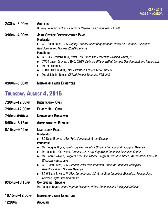2:30pm–3:00pm Address Dr. Way Fountain, *Acting Director of Research and Technology, ECBC*  3:00pm–4:00pm Joint Service Representative Panel Moderator: ▶ COL Scott Estes, USA, *Deputy Director, Joint Requirements Office for Chemical, Biological, Radiological and Nuclear (CBRN) Defense* Panelists: ▶ COL Jay Reckard, USA, *Chief, Full Dimension Protection Division, HQDA, G-8* u CWO4 Jason Groves, USMC, *CBRN Defense Officer, HQMC Combat Development and Integration*  $\blacktriangleright$  Mr. Bill Thomas ▶ LCDR Blake Burket, USN, OPNAV 814 Shore Action Officer ▶ Mr. Malcholm Reese, *CBRNE Project Manager, NGB, J39* 

4:00pm–5:00pm Networking with Exhibitors

\_\_\_\_\_\_\_\_\_\_\_\_\_\_\_\_\_\_\_\_\_\_\_\_\_\_

## Thursday, August 4, 2015

| 7:00 AM - 12:00 PM                                           | <b>REGISTRATION OPEN</b>                                                                                                                                                                                                                                                                                                                                                                                                                                                                                                                                                                                                                                                                                                                               |
|--------------------------------------------------------------|--------------------------------------------------------------------------------------------------------------------------------------------------------------------------------------------------------------------------------------------------------------------------------------------------------------------------------------------------------------------------------------------------------------------------------------------------------------------------------------------------------------------------------------------------------------------------------------------------------------------------------------------------------------------------------------------------------------------------------------------------------|
| 7:00 АМ-12:00 РМ                                             | <b>EXHIBIT HALL OPEN</b>                                                                                                                                                                                                                                                                                                                                                                                                                                                                                                                                                                                                                                                                                                                               |
| 7:00am-8:00am                                                | <b>NETWORKING BREAKFAST</b>                                                                                                                                                                                                                                                                                                                                                                                                                                                                                                                                                                                                                                                                                                                            |
| 8:00 AM-8:15 AM                                              | <b>ADMINISTRATIVE REMARKS</b>                                                                                                                                                                                                                                                                                                                                                                                                                                                                                                                                                                                                                                                                                                                          |
| 8:15 <sub>AM</sub> -9:45 <sub>AM</sub><br>9:45 AM - 10:15 AM | <b>LEADERSHIP PANEL</b><br><b>Moderator:</b><br>BG Dean Ertwine, USA (Ret), Consultant, Army Alliance<br><b>Panelists:</b><br>Mr. Douglas Bryce, Joint Program Executive Officer, Chemical and Biological Defense<br>▶<br>Dr. Joseph L. Corriveau, Director, U.S. Army Edgewood Chemical Biological Center<br>▶<br>Mr. Conrad Whyne, Program Executive Officer, Program Executive Office, Assembled Chemical<br>▶<br><b>Weapons Alternatives</b><br>COL Scott Estes, USA, Director, Joint Requirements Office for Chemical, Biological,<br>▶<br><b>Radiological and Nuclear Defense</b><br>BG William E. King, IV, USA, Commander, U.S. Army 20th Chemical, Biological, Radiological,<br>▶<br>Nuclear, Explosives Command<br><b>CONCLUDING REMARKS</b> |
|                                                              | Mr. Douglas Bryce, Joint Program Executive Office, Chemical and Biological Defense                                                                                                                                                                                                                                                                                                                                                                                                                                                                                                                                                                                                                                                                     |
| 10:15AM-12:00PM                                              | <b>NETWORKING WITH EXHIBITORS</b>                                                                                                                                                                                                                                                                                                                                                                                                                                                                                                                                                                                                                                                                                                                      |
| 12:00 <sub>PM</sub>                                          | <b>ADJOURN</b>                                                                                                                                                                                                                                                                                                                                                                                                                                                                                                                                                                                                                                                                                                                                         |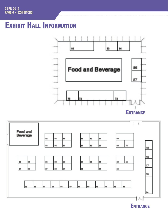# **EXHIBIT HALL INFORMATION**





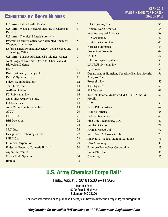## Exhibitors by Booth Number

| <b>U.S. Army Public Health Center</b>                                           | $\overline{2}$ |
|---------------------------------------------------------------------------------|----------------|
| U.S. Army Medical Research Institute of Chemical<br>Defense                     | 3              |
| <b>U.S. Army Chemical Materials Activity</b>                                    | $\overline{4}$ |
| Program Executive Office for Assembled Chemical<br><b>Weapons Alternatives</b>  | 5              |
| Defense Threat Reduction Agency - Joint Science and<br><b>Technology Office</b> | 6              |
| U.S. Army Edgewood Chemical Biological Center                                   | 7              |
| Joint Program Executive Office for Chemical and<br><b>Biological Defense</b>    | 8              |
| <b>HDIAC</b>                                                                    | 9              |
| <b>RAE Systems by Honeywell</b>                                                 | 10             |
| Decon7 Systems, LLC                                                             | 11             |
| <b>Falcon Communications</b>                                                    | 12             |
| Tex-Shield, Inc.                                                                | 13             |
| <b>AirBoss Defense</b>                                                          | 14             |
| FLIR Systems, Inc.                                                              | 16             |
| QuickSilver Analytics, Inc.                                                     | 17             |
| <b>ITL Solutions</b>                                                            | 18             |
| Avon Protection Systems, Inc.                                                   | 19             |
| <b>ATCC</b>                                                                     | 20             |
| <b>ODU USA</b>                                                                  | 21             |
| <b>BBI</b> Detection                                                            | 22             |
| Leidos                                                                          | 23             |
| SRC, Inc.                                                                       | 26             |
| Design West Technologies, Inc.                                                  | 27             |
| PHDS Co.                                                                        | 28             |
| <b>Luminex Corporation</b>                                                      | 29             |
| <b>Endeavor Robotics (formerly iRobot)</b>                                      | 30             |
| <b>Argon Electronics</b>                                                        | 31             |
| <b>Cobalt Light Systems</b>                                                     | 34             |
| <b>Battelle</b>                                                                 | 35             |
|                                                                                 |                |

| UTS Systems, LLC                                                            | 36 |
|-----------------------------------------------------------------------------|----|
| QinetiQ North America                                                       | 38 |
| Veteran Corps of America                                                    | 39 |
| <b>IB Consultancy</b>                                                       | 42 |
| <b>Bruker Detection Corp</b>                                                | 43 |
| <b>Karcher Futuretech</b>                                                   | 44 |
| <b>Production Products</b>                                                  | 44 |
| <b>ORTEC</b>                                                                | 52 |
| <b>UTC Aerospace Systems</b>                                                | 53 |
| LAURUS Systems, Inc.                                                        | 54 |
| Symetrica                                                                   | 55 |
| Department of Homeland Security/Chemical Security<br><b>Analysis Center</b> | 56 |
| Proengin, Inc.                                                              | 57 |
| <b>TRX Systems</b>                                                          | 60 |
| 908 Devices                                                                 | 61 |
| Tactical Defense Media/CST & CBRN/Armor &<br>Mobility                       | 62 |
| <b>ADS</b>                                                                  | 63 |
| <b>Paper Pak Industries</b>                                                 | 64 |
| <b>BioFire Defense</b>                                                      | 65 |
| <b>Federal Resources</b>                                                    | 68 |
| First Line Technology, LLC                                                  | 69 |
| <b>Smiths Detection</b>                                                     | 71 |
| Kromek Group Ltd                                                            | 72 |
| W. L. Gore & Associates, Inc.                                               | 73 |
| <b>Innovative Tactical Training Solutions</b>                               | 76 |
| <b>LSA Autonomy</b>                                                         | 80 |
| <b>Brimrose Technology Corporation</b>                                      | 83 |
| Polimaster, Inc.                                                            | 86 |
| Chemring                                                                    | 87 |
|                                                                             |    |

## U.S. Army Chemical Corps Ball\*

Friday, August 5, 2016 | 5:30pm–11:30pm

Martin's East 9000 Pulaski Highway Baltimore, MD 21220

For more information or to purchase tickets, visit http://www.ecbc.army.mil/greendragonball/

*\*Registration for the ball is NOT included in CBRN Conference Registration Rate.*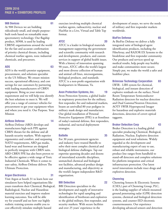#### 908 Devices 61

At 908 Devices we are building ridiculously small, and simple purposebuilt tools based on remarkable mass spectrometry technology. Our flagship product, M908, is used by leading CBRNE organizations around the world for the fast and accurate confirmation of priority chemical threats, including chemical warfare agents, toxic industrial chemicals, and precursors.

#### ADS 63

ADS is the world's premier equipment, procurement, and solutions specialist to the US Military. We ensure mission success, operational efficiency, and cost savings for our customers by partnering with leading manufacturers of CBRN equipment. Bring us your mission requirement and we will help you identify the best solutions to meet it. We will offer you a range of contract vehicles for procurement to get your equipment when and where you need it. Our Purpose. Your Mission

#### AirBoss Defense 14

AirBoss-Defense (ABD) develops and manufactures high-tech PPE against CBRN threats for the defense and all hazards security markets. With superior ergonomics and comfort, and surpassing NATO requirements, ABD gas masks, hand wear and footwear are designed to perfectly integrate with CBRN suits. ABD CBRN PPE has also been proven to be effective against a wide range of Toxic Industrial Chemicals. When it comes to user safety, AirBoss-Defense delivers The Ultimate Protection.

#### Argon Electronics 31

Visit Argon at booth 31 to learn how our simulators have helped organisations like yours transform their Chemical, Biological, Radiological, Nuclear and Hazardous material exercises and improve student learning outcomes. You will be able try for yourself and see how our highly realistic training systems enable you to cost effectively simulate multiple hazard

exercises involving multiple chemical warfare agents, radioactivity, nuclear and HazMat in a Live, Virtual and Table Top format.

#### ATCC 20

ATCC is a leader in biological materials management supporting the government and scientific community with research and development, products, and custom services in support of global health issues. With a history of innovation spanning 90 years, ATCC offers the world's largest and most diverse collection of human and animal cell lines, microorganisms, biological products, and standards. ATCC is a non-profit organization with headquarters in Manassas, Va.

#### Avon Protection Systems, Inc. **19**

Avon Protection Systems, a global leader in respiratory protection for the military, first responder, fire and industrial markets, boasts an unrivalled 80 year pedigree in military mask design and manufacture. Our global installation of Personal Protective Equipment (PPE) is at frontlines of today's national defense, first responders, industrial, and tactical deployment strategies.

#### Battelle 35

For 30 years, government agencies and industry have trusted Battelle to solve their most complex chemical and biological defense challenges. Tap our expertise spanning decades and dozens of interrelated scientific disciplines, unmatched chemical and biological test facilities, advanced product design and manufacturing, and objectivity as the world's largest independent R&D organization.

#### BBI Detection 22

BBI Detection specializes in the development and supply of innovative technologies for rapid sampling and identification of biothreats and explosives to the global military, first responder, and security markets. With secure facilities and over 25 years' experience in the

development of assays, we serve the needs of military and first responder markets worldwide.

#### BioFire Defense 65

At BioFire Defense we deliver a fully integrated suite of biological agent identification products, including the FilmArray, and RAZOR EX Systems to the biodefense and first responder community. Our products and services speed up medical results, help people stay healthy and make communities more secure. Simply put, we make the world a safer and healthier place.

#### **Brimrose Technology Corporation 83**

LWIR - LIBS system for chemical, biological, and instant detection of explosive residuals on the surface; Novel Room Temperature Semiconductor Radiation detectors for nuclear detection and Dual Gamma/Neutron Detection; AOTF SWIR Hyperspectral Imager for hazardous and explosive materials detections, detection of covert optical taggants.

#### **Bruker Detection Corp 643**

Bruker Detection is a leading global specialist producing Chemical, Biological, Radiation, Nuclear, Explosive detection equipment and total solutions. Widely regarded as the development and manufacturing expert of easy to use, robust and reliable instruments, our product line ranges from handheld to stand-off detectors and complete solutions for platform integration and critical infrastructure protection. Our latest novel innovations include trace drugs and explosives detection.

#### Chemring 87

Chemring Sensors & Electronic Systems (CSES,) part of Chemring Group, PLC, is the leading supplier of vehicle-mounted ground penetrating radar (GPR) detection systems, chemical and biological detection systems, and counter-IED electronic countermeasures. Our experience developing advanced sensors and detection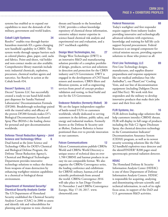systems has enabled us to expand our capabilities to meet the demands of the military, government and world leaders.

#### Cobalt Light Systems 34

Resolve™ enables true through-barrier hazardous materials ID; a game-changing new handheld capability in CBRN. The system works through opaque barriers such as colored plastics, glass, paper, card, sacks and fabrics. Point-and-shoot, vial holder and non-contact modes are also available. Comprehensive library materials include toxic industrial chemicals, explosives, precursors, chemical warfare agents and narcotics. See Resolve in action at the Cobalt booth #34.

#### Decon7 Systems, LLC 11

Decon7 Systems LLC has successfully created a ready-to-use hand-held multipart dispenser for Sandia National Laboratories' Decontamination Formula (DF200). Breakthrough technology paired with the trusted safety and efficacy of the proven DF200 formula makes D7's Biological Decontaminant Accelerated Spray Plus (BDAS+) the leading choice for personal and spot decontamination worldwide.

#### Defense Threat Reduction Agency - Joint Science and Technology Office 6

Dual-hatted as the Joint Science and Technology Office for DOD's Chemical and Biological Defense Program, the Defense Threat Reduction Agency's, Chemical and Biological Technologies Department provides innovative technology solutions to reduce the threat from weapons of mass destruction by enhancing warfighter mission capabilities in a chemical or biological threat environment.

#### Department of Homeland Security/ Chemical Security Analysis Center 56

The US Department of Homeland Security established the Chemical Security Analysis Center (CSAC) in 2006 to assess and identify risk and vulnerabilities for planning and response to toxic chemical

threats and hazards to the homeland. CSAC provides a robust knowledge repository of chemical threat information, extensive subject matter expertise in science-based chemical risk analysis and experimental test and evaluation, and a 24/7 reachback capability.

#### Design West Technologies, Inc. 27

Design West Technologies (DWT) is an innovative R&D and manufacturing solution provider of a complete portfolio of design, products, services and solutions in detection and protection for the CBRN industry and US Government. DWT is engaged in the development of CNT-based sensors and monitors, CBRN filters and filtration systems, as well as engineering services from proof of concept product validation and testing, to final build and test for the US Government.

#### Endeavor Robotics (formerly iRobot) 30

We are the largest independent supplier of battle-tested UGVs to customers worldwide, wholly dedicated to serving customers in the defense, public safety, and energy and industrial markets. Formerly known as the Defense & Security unit at iRobot, Endeavor Robotics is better positioned than ever to provide innovation to our customers.

#### **Falcon Communications** 12

Falcon Communications publish CBRNe World and CBRNe World Directory-a unique source of technical data on over 1,700 CBRNE and hazmat products in an easy tio use comparable format. We also organize the CBRNe Convergence series, the leading conference and exhibitions for CBRNE military, hazmat,civil and scientific professionals from around the world. CBRNe Convergence 2016 will take place in San Diego October 31-November 2 and CBRNe Convergence Europe, May 17-18, 2017. www. cbrneworld.com

#### Federal Resources 68

Today's warfighter and first responder require support from industry leaders providing innovative and technologically advanced solutions with experience, knowledge and training for full life cycle support beyond procurement. Federal Resources is an integral component for critical mission success, providing superior solutions to those who protect us all.

#### First Line Technology, LLC 69

First Line Technology designs, manufactures, and supplies disaster preparedness and response equipment like our medical ambulance bus (the AmbuBus®), our PhaseCore® Cooling Vests, and our line of decontamination equipment (including Dahlgren Decon and FiberTect). We work with first responders and the military to develop innovative products that make their jobs easer and their lives safer.

#### FLIR Systems, Inc. 16

FLIR delivers leading-edge solutions that help customers interdict CBRNE threats. FLIR will display its full range of products including the Fido C2 Agent Disclosure Spray, the chemical detection technology in the Contamination Indicator/ Decontamination Assurance System (CIDAS) program, as well as its newest security screening solutions like the Fido X2 handheld explosives trace detector and the identiFINDER® R200 pager-sized spectroscopic personal radiation detector.

#### **HDIAC**

The Homeland Defense & Security Information Analysis Center (HDIAC) is one of three Department of Defense Information Analysis Centers. HDIAC is responsible for acquiring, analyzing and disseminating relevant scientific and technical information, in each of its eight focus areas, in support of the DoD and U.S. government R&D activities.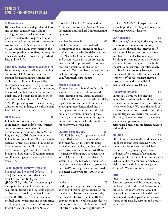#### IB Consultancy 42

IB Consultancy is an independent defense and security company dedicated to making this world a safer and more secure place. To achieve this we provide rapid, innovative defense and security services to government, trade & industry. NCT is the #1 CBRNe and EOD event series in the world, supporting responders, industry and other stakeholders in Asia, Europe, Middle East and the USA.

#### Innovative Tactical Training Solutions 76

Based in KY, Innovative Tactical Training Solutions (ITTS) produces immersive, mission-focused training solutions that realistically replicate military/civilian emergency operations. ITTS products are developed by seasoned veterans demanding functional simplicity, uncompromising durability, and system flexibility to meet dynamic training missions. ITTS is a SDVOSB providing cost-efficient training solutions to our military, law enforcement, Fire/EMS, and disaster responders.

#### **ITL Solutions** 18

ITL Solutions is your source for equipment to meet today's requirements and tomorrow's unknowns. Offering mission specific equipment from Marine Engineering to CBR Decontamination, ITL Solutions is a SDVOSB with the right systems to meet your needs. ITL Solutions is proud to be the US Distributor of the Cristanini S.p.A. line of Chemical, Biological, Radiological Decontamination and Firefighting equipment, a world leader since 1972.

#### Joint Program Executive Office for **Chemical and Biological Defense** 8

The Joint Program Executive Office for Chemical and Biological Defense (JPEO-CBD) is the Joint Services single focal point for research, development, acquisition, fielding and life-cycle support of chemical, biological, radiological and nuclear (CBRN) defense equipment and medical countermeasures and is comprised of a headquarters element, and five Joint Project Management Offices: Nuclear

Biological Chemical Contamination Avoidance, Information Systems,Guardian, Protection, and Medical Countermeasure Systems.

#### Karcher Futuretech 44

Kärcher Futuretech offers tailored decontamination solutions in modular configurations as effective defense against CBRN attacks. Our decontaminants and decon systems focus on protecting people and the operational environment, providing system solutions for our customers. Our complete product line can be found at http://www.karcher-futuretech. com/futuretech\_en/products

#### Kromek Group Ltd 72

Kromek has a portfolio of products for specific detection, identification and quantification of radioactive materials, which are differentiated by their sensitivity, high resolution and small form factor allowing unprecedented flexibility in deployment. Applications include civil radiation detection, industrial process control, environmental monitoring and personal detection use for the public. Learn more at www.kromek.com.

#### LAURUS Systems, Inc. 64

LAURUS Systems Inc. provides state of the art Radiation and Chemical detection and identification instruments along with after sales service, training, software and instrument calibration. LAURUS is currently offering new products such as the Chem-ID, a field portable GC system, the EVA-1, a vehicle mounted radiation detection and alarm system, and new RadView Badge, a credit card sized dosimeter badge you can carry in your wallet!

#### Leidos 23

Leidos provides operationally informed science and technology solutions for the toughest challenges in national security, health and infrastructure. Our 18,000 employees support vital missions, develop innovations and defend digital and physical infrastructure from evolving threats. Our

CBRNE/ WMD/ CTR expertise spans research, products, fielding, and operations worldwide. www.Leidos.com

#### LSA Autonomy 80

The company's roots lay in the engineering of autonomous systems for military applications through the integration of existing vehicles and sensors with LSA's own hardware and software designs. Resulting systems are based on modular, open-architecture designs that are both adaptable and platform-agnostic. Where possible, LSA Autonomy leverages commercial off-the-shelf computers and sensors to effectively manage lifecycle costs without sacrificing reliability, maintainability, or availability.

#### Luminex Corporation 29

Luminex is committed to creating innovative, breakthrough solutions to help our customers improve health and advance science worldwide. We serve the needs of our customers in diverse markets including clinical diagnostics, pharmaceutical drug discovery, biomedical research, including genomic and proteomic research, personalized medicine, biodefense research and food safety.

#### ODU USA 21

ODU Group is one of the world's leading suppliers of connector systems. ODU connector solutions ensure a reliable transmission of power, signals, data and media for a variety of demanding applications including military and security such as: soldier communication systems, night vision, tactical radios, navigation devices, UAVs and airborne vehicles.

#### ORTEC<sup>52</sup>

ORTEC, a world leader in radiation detection systems, will be demonstrating the Detective-EX, the world's first portable HPGe detection system that does not require liquid nitrogen. It is widely used by state rad health departments, hazmat teams, bomb squads, customs and border protection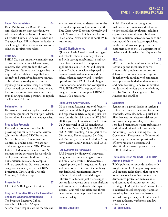#### Paper Pak Industries 64

Paper Pak Industries, Booth #64, in joint development with Aberdeen, we will be featuring the latest technology in Chem/Bio Human Remains Pouches and Transport Pads. PPI has been the leader in developing CBRNe response and recovery solutions for first responders.

#### PHDS Co. 28

PHDS Co. is an innovative manufacturer of custom and commercial gamma-ray cameras. The latest product, the GeGI (Germanium Gamma-ray Imager), has the unprecedented ability to rapidly locate, identify and quantify radioactive sources. This is done by overlaying a gammaray image on an optical image to clearly show the radioactive-source identities and locations on an intuitive visual interface thus allowing security personnel to rapidly qualify potential threats.

#### Polimaster, Inc. 66

Polimaster is a major supplier of radiation detection equipment for multiple Federal, State and local law enforcement agencies.

#### Production Products 44

Production Products specializes in providing our military customer custom solutions for their CBRN Protection, Medical Isolation, Contamination Control & Shelter needs. We are part of the next generation CBRN. Kärcher Futuretech develops, manufactures, & markets modular systems for worldwide deployment missions in disaster relief, humanitarian missions, & complex military operations. Our core product categories include systems for CBRN Protection, Water Supply , Mobile Catering, & Field Camps.

#### Proengin, Inc. 57 Chemical & Biological Detection

#### Program Executive Office for Assembled Chemical Weapons Alternatives 5

The Program Executive Office, Assembled Chemical Weapons Alternatives is responsible for the safe and environmentally sound destruction of the chemical weapons stockpiles stored at the Blue Grass Army Depot in Kentucky and the U.S. Army Pueblo Chemical Depot in Colorado. Please visit us at booth #5 to learn more.

### QinetiQ North America 38

QinetiQ North America develops rugged and reliable robots in a variety of sizes and with varying capabilities. In military, law enforcement and first responder applications, our TALON® and Dragon Runner™ robots are widely deployed to increase situational awareness, aid in safety, enhance security and streamline operations. Both TALON and Dragon Runner offer a modular and configurable CBRNE/HAZMT kit equipped with integrated sensors to support CBRNE/ HAZMAT operations.

## QuickSilver Analytics, Inc. 17

QS is a manufacturing leader of forensic quality chemical, biological, radiological and explosive (CBRE) sampling kits. We were founded in 1994 and are ISO 9001- 2008 registered. Our kits are used to train DoD personnel in CBRE sampling at Ft Leonard Wood. QS's QSA 102 DR-SKO CBRE Sampling Kit is a part of the Dismounted Reconnaissance Sets Kits and Outfits System being fielded to Army, Navy, Marine and National Guard CSTs.

## RAE Systems by Honeywell **10**

RAE Systems by Honeywell innovates, designs and manufactures gas sensors and radiation detectors. RAE Systems' rugged, proven, and integrated multi-gas and radiation detectors meet all military standards and specifications. Easy to maintain in the field and with a global infrastructure for comprehensive support, our products operate on an open platform and can integrate with other third-party systems. Our real-time safety and threat detection systems helps save lives and maintain safety.

Smiths Detection Inc. designs and makes advanced systems and solutions to detect and identify threats including explosives, chemical agents, biohazards, nuclear, radiation, narcotics, weapons and contraband. It manufactures specialized products and manages programs for customers such as the US Department of Defense and Homeland Security Agencies

#### SRC, Inc. 26

SRC, Inc. combines information, science, technology and ingenuity to solve "impossible" problems in the areas of defense, environment and intelligence. Together with our family of companies, we apply research, design, development and manufacturing to deliver innovative products and services that are redefining possible® for the challenges faced by America and its Allies.

#### Symetrica 55

Symetrica is a global leader in verifying radioactive threats. The range, including handheld, wearable, mobile, portal and 3He-Free neutron detectors deliver best in class accuracy, low lifecycle costs, zero scheduled maintenance (auto stabilization and calibration) and real time health monitoring. Users, including the U.S Government Department of Homeland Security, gain the most operationally effective radiation detection and identification systems, proven in over 1,000 fielded units.

#### Tactical Defense Media/CST & CBRN/ Armor & Mobility 62

TDM publications provide readers with insights into DoD program requirements and industry technologies that support joint force ops including mounted and dismounted protection systems, intel and comms applications, tactics, and training. TDM publications' mission focus is centered on collecting expert opinion regarding best practices and lessons learned through the eyes of military and civilian authority, warfighters and law enforcement.

Tex-Shield, Inc. 13